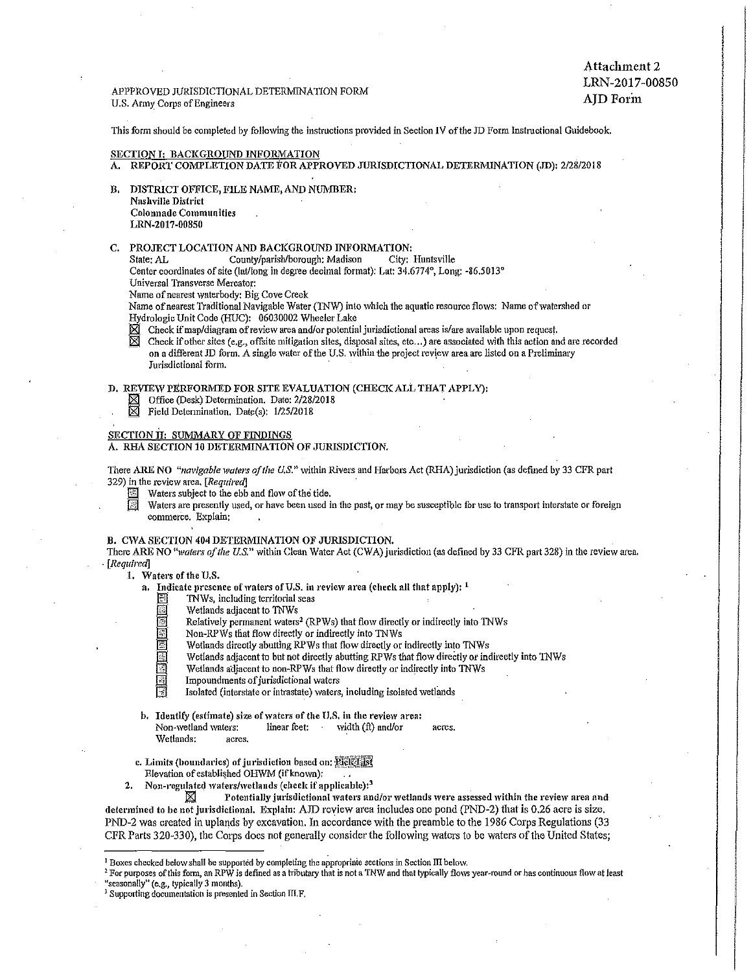APPPROVED JURISDICTIONAL DETERMINATION FORM U.S. Anny Corps ofEngineers

Attachment 2 LRN-2017-00850 AJD Forin

This form should be completed by following the instructions provided in Section IV of the JD Form Instructional Guidebook.

#### SECTION I: BACKGROUND INFORMATION

- A. REPORT COMPLETION DATE FOR APPROVED JURISDICTIONAL DETERMINATION (,JD): 2/28/2018
- B. DISTRICT OFFICE, FILE NAME, AND NUMBER: Nashville District Colonnade Communities LRN-2017-00850
- 

C. PROJECT LOCATION AND BACKGROUND INFORMATION:<br>State: AL County/parish/borough: Madison City: Huntsville State: AL County/parish/borough: Madison Center coordinates of site (lat/long in degree decimal format): Lat: 34.6774°, Long: -86.5013°

- Universal Transverse Mercator:
- Name of nearest waterbody: Big Cove Creek
- 

Name of nearest Traditional Navigable Water (TNW) into which the aquatic resource flows: Name of watershed or Hydrologic Unit Code (HUC): 06030002 Wheeler Lake

 $\boxtimes$  Check if map/diagram of review area and/or potential jurisdictional areas is/are available upon request.<br> $\boxtimes$  Check if other sites (e.g., offsite mitigation sites, disposal sites, etc...) are associated with this a Check if other sites (e.g., offsite mitigation sites, disposal sites, etc...) are associated with this action and are recorded on a different JD form. A single water of the U.S. within the project review area are listed on a Preliminary Jurisdictional form.

D. REVIEW PERFORMED FOR SITE EVALUATION (CHECK ALL THAT APPLY):<br>  $\boxtimes$  Office (Desk) Determination. Date: 2/28/2018<br>  $\boxtimes$  Field Determination. Date(s): 1/25/2018

- Office (Desk) Determination. Date: 2/28/2018
- Field Determination. Date(s): 1/25/2018

## SECTION II: SUMMARY OF FINDINGS

A. RHA SECTION 10 DETERMINATION OF JURISDICTION,

There ARE NO *"navigable waters of the U.S."* within Rivers and Harbors Act (RHA) jurisdiction (as defined by 33 CFR part 329) in the review area.  $[Required]$ 

Waters subject to the ebb and flow of the tide.<br>
Waters are presently used, or have been used i

Waters are presently used, or have been used in the past, or may be susceptible for use to transport interstate or foreign commerce. Explain:

#### B. CWA SECTION 404 DETERMINATION OF JURISDICTION.

There ARE NO "waters of the U.S." within Clean Water Act (CWA) jurisdiction (as defined by 33 CFR part 328) in the review area. · [Required]

1. Waters of the U.S.

- a. Indicate presence of waters of U.S. in review area (check all that apply):  $<sup>1</sup>$ </sup>
	-
	- TNWs, including territorial seas<br>Wetlands adjacent to TNWs
	- Wetlands adjacent to TNWs<br>
	Relatively permanent waters<sup>2</sup> (RPWs) that flow directly<br>
	Non-RPWs that flow directly or indirectly into TNWs<br>
	Wetlands directly abutting RPWs that flow directly or Relatively permanent waters<sup>2</sup> (RPWs) that flow directly or indirectly into TNWs
		-
		-
		- Wetlands directly abutting RPWs that flow directly or indirectly into TNWs<br>Wetlands adjacent to but not directly abutting RPWs that flow directly or indirectly into TNWs
		- Wetlands adjacent to non-RPWs that flow directly or indirectly into TNWs
			- Impoundments of jurisdictional waters
		- Isolated (interstate or intrastate) waters, including isolated wetlands
- b. Identify (estimate) size of waters of the U.S. in the review area: Non-wetland waters: linear feet: width (ft) and/or acres. Wetlands: acres.
- c. Limits (boundaries) of jurisdiction based on: Pick List Elevation of established OHWM (if known);
- 2. Non-regulated waters/wetlands (check if applicable):<sup>3</sup>

 $\boxtimes$  Potentially jurisdictional waters and/or wetlands were assessed within the review area and determined to be not jurisdictional. Explain: AJD review area includes one pond (PND-2) that is 0.26 acre is size, PND-2 was created in uplands by excavation. In accordance with the preamble to the 1986 Corps Regulations (33 CFR Parts 320-330), the Corps does not generally consider the following waters to be waters of the United States;

<sup>1</sup> Boxes checked below shall be supported by completing the appropriate sections in Section III below.<br><sup>2</sup> For purposes of this form, an RPW is defined as a tributary that is not a TNW and that typically flows year-round

<sup>&</sup>lt;sup>3</sup> Supporting documentation is presented in Section III.F.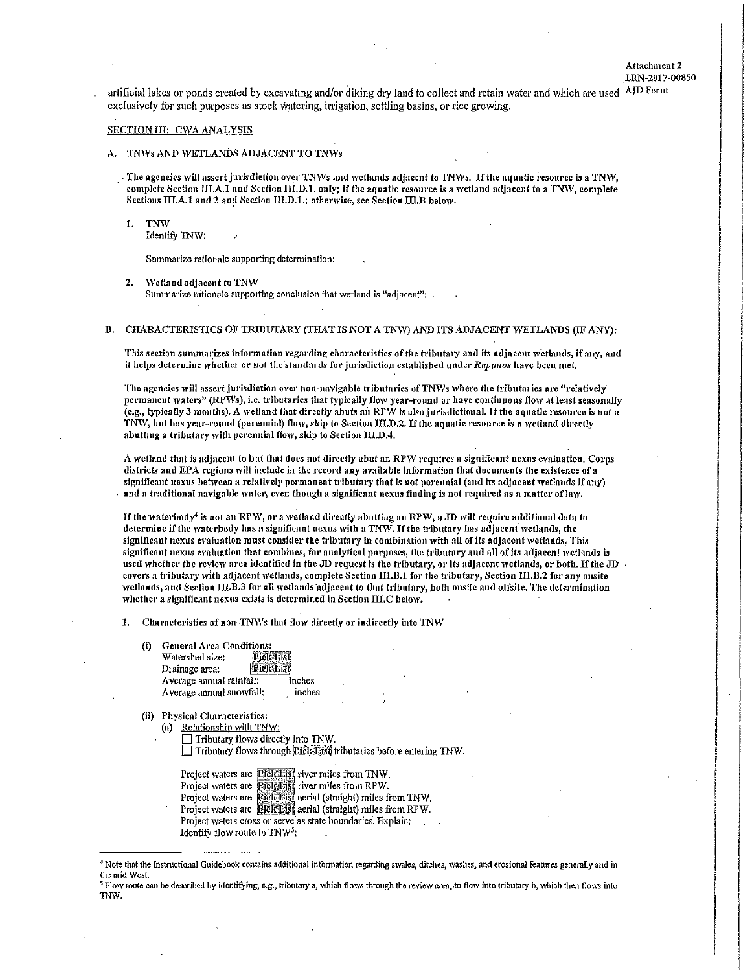Attachment 2 .LRN-2017-00850

. artificial lakes or ponds created by excavating and/or diking dry land to collect and retain water and which are used AJD Form exclusively for such purposes as stock watering, irrigation, settling basins, or rice growing.

#### SECTION III: CWA ANALYSIS

- A. TNWs AND WETLANDS ADJACENT TO TNWs
	- . The agencies will assert jurisdiction over TNWs and wetlands adjacent to TNWs. If the aquatic resource is a TNW, complete Section  $\text{III}, \text{A}, \text{I}$  and Section III.D.1. only; if the aquatic resource is a wetland adjacent to a TNW, complete Sections  $III.A.1$  and 2 and Section  $III.D.1.$ ; otherwise, see Section  $III.B$  below.
		- !. TNW
			- Identify 1NW:

Summarize rationale supporting determination:

- 2. Wetland adjacent to TNW Summarize rationale supporting conclusion that wetland is "adjacent":
- B. CHARACTERISTICS OF TRIBUTARY (THAT IS NOT A TNW) AND ITS ADJACENT WETLANDS (IF ANY):

This section summarizes information regarding characteristics of the tributary and its adjacent Wetlands, if any, and it helps determine whether or not the standards for jurisdiction established under *Rapanos* have been met.

The agencies will assert jurisdiction over non-navigable tributaries of TNWs where the tributaries are "relatively permanent waters" (RPWs), i.e. tributaries that typically flow year-round or have continuous flow at least seasonally  $\overline{c}$ , typically 3 months). A wetland that directly abuts an RPW is also jurisdictional. If the aquatic resource is not a TNW, but has year-round (perennial) flow, skip to Section III.D.2. If the aquatic resource is a wetland directly abutting a tributary with perennial flow, skip to Section III.D.4.

A wetland that is adjacent to but that does not directly abut an RPW requires a significant nexus evaluation. Corps districts and EPA regions will include in the record any available information that documents the existence of a significant nexus between a relatively permanent tributary that is not perennial (and its adjacent wetlands if any) and a traditional navigable water, even though a significant nexus finding is not required as a matter of law.

If the waterbody<sup>4</sup> is not an RPW, or a wetland directly abutting an RPW, a JD will require additional data to determine if the waterbody has a significant nexus with a TNW. If the tributary has adjacent wetlands, the significant nexus evaluation must consider the tributary in combination with all of its adjacent wetlands. This significant nexus evaluation that combines, for analytical purposes, the tributary and all of its adjacent wetlands is used whether the review area identified in the JD request is the tributary, or its adjacent wetlands, or both. If the JD covers a tributary with adjacent wetlands, complete Section III,B.1 for the tributary, Section III,B.2 for any onsite wetlands, and Section III.B.3 for all wetlands adjacent to that tributary, both onsite and offsite. The determination whether a significant nexus exists is determined in Section III.C below.

1. Characteristics of non-TNWs that flow directly or indirectly into TNW

(i) General Arca Conditions:

| Watershed size:          | <b>Piddles</b> |        |
|--------------------------|----------------|--------|
| Drainage area:           |                |        |
| Average annual rainfall: |                | inches |
| Average annual snowfall: |                | inches |

(ii) Physicnl Characteristics:

- (a) Relationship with TNW:
	- $\Box$  Tributary flows directly into TNW.  $\Box$  Tributary flows through Pick List tributaries before entering TNW.

Project waters are **Pick List** river miles from TNW, Project waters are Picketist river miles from RPW. Project waters are Pick has aerial (straight) miles from TNW. Project waters are **Pick Fist** aerial (straight) miles from RPW. Project waters cross or serve as state boundaries. Explain: Identify flow route to TNW<sup>5</sup>:

<sup>•</sup> 1 Note that the Instructional Guidebook contains additional infonnation regarding swales, ditches, washes, and erosional features generally and in the arid West.

<sup>&</sup>lt;sup>5</sup> Flow route can be described by identifying, e.g., tributary a, which flows through the review area, to flow into tributary b, which then flows into TNW.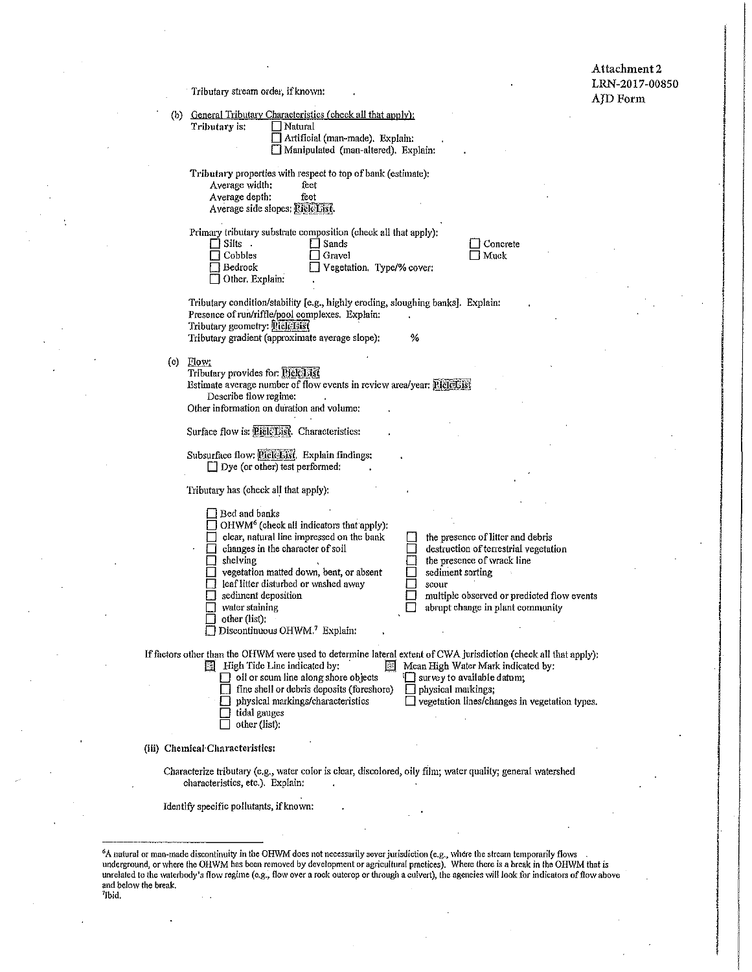andro del professor del professor del professor del professor del professor del professor del professor del pr<br>I del professor del professor del professor del professor del professor del professor del professor del profes<br>

dia juga mengenakan kalendari<br>Lihat pengantan pada kalendari pada hasil di sebagai di pada tahun 1980 dan di sebagai di sebagai di sebagai d<br>Lihat pengantan pada tahun 1980 dan sebagai di sebagai di sebagai di sebagai di s

Tributary stream order, if known:

 $\lambda$ 

 $\ddot{\phantom{a}}$ 

 $\overline{a}$ 

|        |                      | (b) General Tributary Characteristics (check all that apply):<br>Tributary is:<br>Natural<br>Artificial (man-made). Explain:<br>Manipulated (man-altered). Explain:                                                                                                                                                                                                                                                                                                                                                                                                                     |  |
|--------|----------------------|-----------------------------------------------------------------------------------------------------------------------------------------------------------------------------------------------------------------------------------------------------------------------------------------------------------------------------------------------------------------------------------------------------------------------------------------------------------------------------------------------------------------------------------------------------------------------------------------|--|
|        |                      | Tributary properties with respect to top of bank (estimate):<br>Average width:<br>feet<br>Average depth:<br>feet<br>Average side slopes: Pick List.                                                                                                                                                                                                                                                                                                                                                                                                                                     |  |
|        |                      | Primary tributary substrate composition (check all that apply):<br>Silts .<br>Sands<br>Concrete<br>Cobbles<br>Muck<br>Gravel<br>Bedrock<br>Vegetation. Type/% cover:<br>Other Explain:                                                                                                                                                                                                                                                                                                                                                                                                  |  |
|        |                      | Tributary condition/stability [e.g., highly eroding, sloughing banks]. Explain:<br>Presence of run/riffle/pool complexes. Explain:<br>Tributary geometry: Rick List<br>Tributary gradient (approximate average slope):<br>%                                                                                                                                                                                                                                                                                                                                                             |  |
|        |                      | $(c)$ Flow:<br>Tributary provides for: Bick List<br>Estimate average number of flow events in review area/year: Piciclist<br>Describe flow regime:<br>Other information on duration and volume:                                                                                                                                                                                                                                                                                                                                                                                         |  |
|        |                      | Surface flow is: Rick List. Characteristics:                                                                                                                                                                                                                                                                                                                                                                                                                                                                                                                                            |  |
|        |                      | Subsurface flow: <i>Pickerst</i> . Explain findings:<br>$\Box$ Dye (or other) test performed:                                                                                                                                                                                                                                                                                                                                                                                                                                                                                           |  |
|        |                      | Tributary has (check all that apply):                                                                                                                                                                                                                                                                                                                                                                                                                                                                                                                                                   |  |
|        |                      | Bed and banks<br>OHWM <sup>6</sup> (check all indicators that apply):<br>clear, natural line impressed on the bank<br>the presence of litter and debris<br>destruction of terrestrial vegetation<br>changes in the character of soil<br>shelving<br>the presence of wrack line<br>vegetation matted down, bent, or absent<br>sediment sorting<br>leaf litter disturbed or washed away<br>scour<br>sediment deposition<br>multiple observed or predicted flow events<br>water staining<br>abrupt change in plant community<br>other (list):<br>Discontinuous OHWM. <sup>7</sup> Explain: |  |
|        |                      | If factors other than the OHWM were used to defermine lateral extent of CWA jurisdiction (check all that apply);<br>$\boxed{\mathbb{E}}$ High Tide Line indicated by:<br>摑<br>Mean High Water Mark indicated by:<br>$\Box$ oil or scum line along shore objects<br>survey to available datum;<br>fine shell or debris deposits (foreshore)<br>physical markings:<br>physical markings/characteristics<br>$\exists$ vegetation lines/changes in vegetation types.<br>tidal gauges<br>other (list):                                                                                       |  |
|        |                      | (iii) Chemical Characteristics:                                                                                                                                                                                                                                                                                                                                                                                                                                                                                                                                                         |  |
|        |                      | Characterize tributary (e.g., water color is clear, discolored, oily film; water quality; general watershed<br>characteristics, etc.). Explain:                                                                                                                                                                                                                                                                                                                                                                                                                                         |  |
|        |                      | Identify specific pollutants, if known:                                                                                                                                                                                                                                                                                                                                                                                                                                                                                                                                                 |  |
| 'Ibid, | and below the break. | <sup>6</sup> A natural or man-made discontinuity in the OHWM does not necessarily sever jurisdiction (e.g., where the stream temporarily flows<br>underground, or where the OHWM has been removed by development or agricultural practices). Where there is a break in the OHWM that is<br>unrelated to the waterbody's flow regime (e.g., flow over a rock outcrop or through a culvert), the agencies will look for indicators of flow above                                                                                                                                          |  |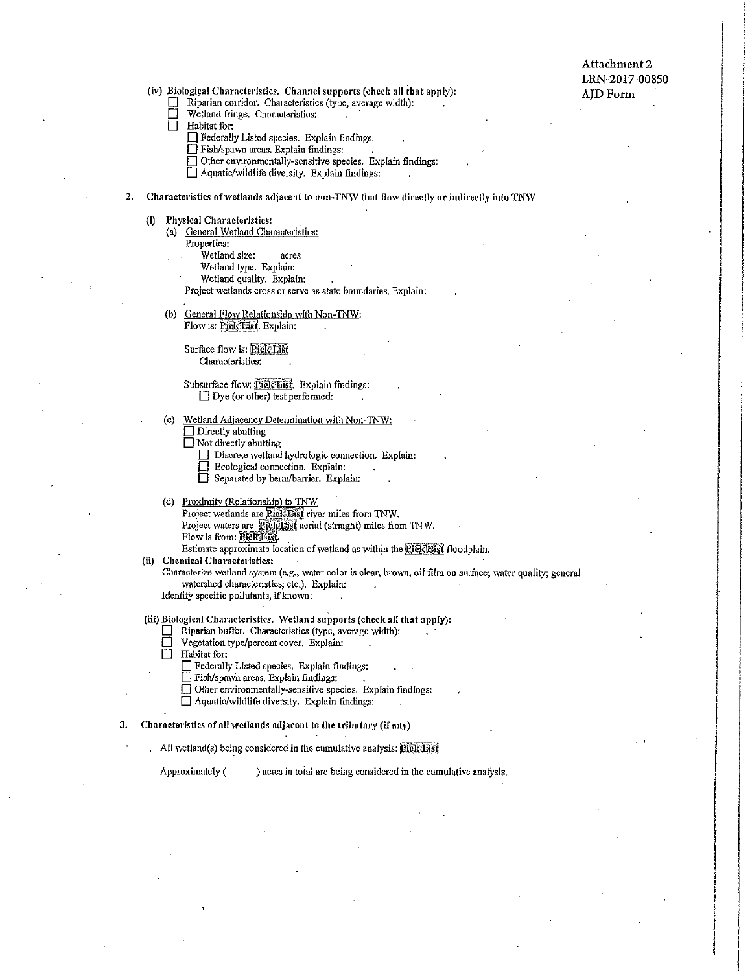Attachment 2 LRN-2017-00850 AJDForm

(iv) Biological Characteristics. Channel supports (check all that apply):

- D Riparian corridor. Characteristics (type, average width):
- $\Box$  Wetland fringe. Characteristics:<br> $\Box$  Habitat for:
- Habitat for:
	- 0 Federally Listed species. Explain findings:
	- $\Box$  Fish/spawn areas. Explain findings:
	- $\Box$  Other environmentally-sensitive species. Explain findings:
	- $\Box$  Aquatic/wildlife diversity. Explain findings:

## 2. Characteristics of wetlands adjacent to non-TNW that flow directly or indirectly into TNW

- (i) Physical Characteristics:
	- (a). General Wetland Characteristics:
		- Properties:
			- Wetland size: acres
			- Wetland type. Explain:
			- Wetland quality. Explain:
		- Project wetlands cross or serve as state boundaries. Explain:
	- (b) General Flow Relationship with Non-TNW: Flow is: PieleList. Explain:

Surface flow is: **PicleList** Characteristics:

#### Subsurface flow: **Bick Eist**. Explain findings:  $\Box$  Dye (or other) test performed:

- (c) Wetland Adjacency Determination with Non-1NW:  $\Box$  Directly abutting
	- $\Box$  Not directly abutting
		- $\Box$  Discrete wetland hydrologic connection. Explain:<br> $\Box$  Ecological connection. Explain:
		- Ecological connection. Explain:
		- D Separated by benn/barrier. Explain;
- (d) Proximity (Relationship) to TNW Project wetlands are Pick List river miles from TNW. Project waters are PickList aerial (straight) miles from TNW.<br>Flow is from: PickQiist,

Estimate approximate location of wetland as within the leiclelsist floodplain.

(ii) Chemical Characteristics:

Characterize wetland system (e.g., water color is clear, brown, oil film on surface; water quality; general \Vatcrshed characteristics; etc.), Explain:

Identify specific pollutants, if known:

- (iii) Biological Characteristics. Wetland supports (check all that apply):
	- $\Box$  Riparian buffer. Characteristics (type, average width):
	- Vegetation type/percent cover. Explain:<br>
	Habitat for:
	- Habitat for:
		- $\Box$  Federally Listed species. Explain findings:
		- $\Box$  Fish/spawn areas. Explain findings:
		- $\Box$  Other environmentally-sensitive species. Explain findings:
		- $\Box$  Aquatic/wildlife diversity. Explain findings:
- 3, Characteristics of all \vetlands adjacent to the tributary (if any)
	- All wetland(s) being considered in the cumulative analysis:  $P1ckList$

Approximately  $($ ) acres in total are being considered in the cumulative analysis.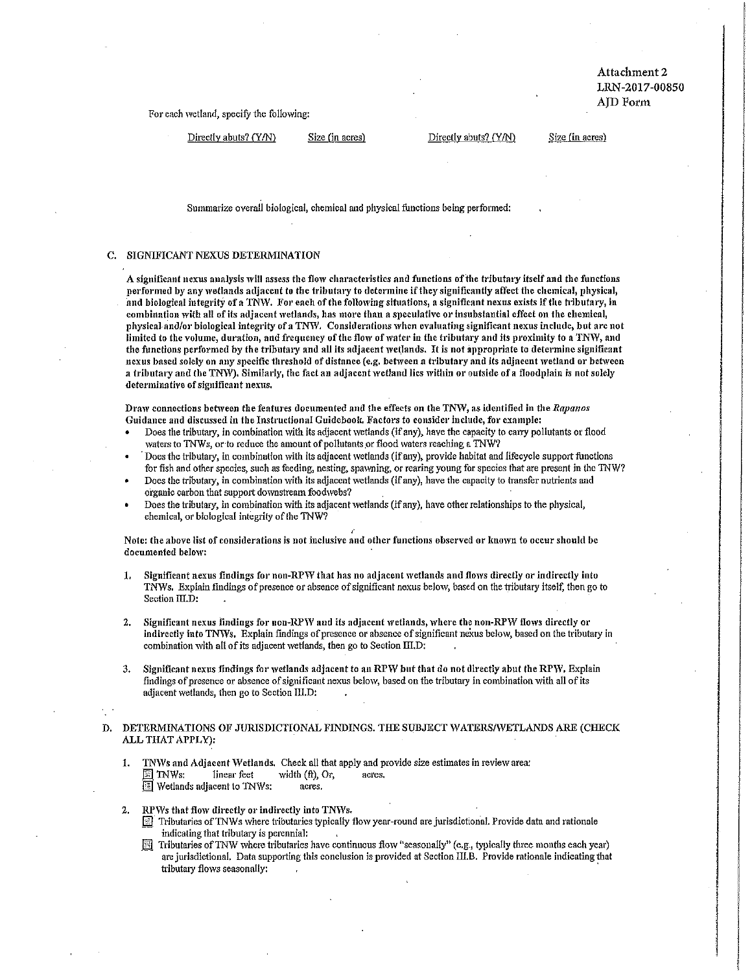Attachment 2 LRN-2017-00850 AID Form

For each wetland, specify the following:

Directly abuts? (Y/N) Size (in acres) Directly abuts? (Y/N) Size (in acres)

Summarize overall biological, chemical and physical functions being performed:

## C. SIGNIFICANT NEXUS DETERMINATION

A significant nexus analysis will assess the flow characteristics and functions of the tributary itself and the functions performed by any wetlands adjacent to the tributary to determine if they significantly affect the chemical, physical, find biological integrify of a TNVV. For each of the following situations, a significant nexus exists if the tributary, in combination with all of its adjacent wetlands, has more than a speculative or insubstantial effect on the chemical, physical and/or biological integrity of a TNW. Considerations 'vhcn evaluating significant nexus include, but are not limited to the volume, duration, and frequency of the flow of water in the tributary and its proximity to a TNW, and the functions performed by the tributary and all its adjacent wetlands. It is not appropriate to determine significant nexus based solely on any specific threshold of distance (e.g. between a tributary and its adjacent wetland or between a tributary and the TNW). Similarly, the fact an adjacent wetland lies within or outside of a floodplain is not solely determinative of significant nexus,

Draw connections between the features documented and the effects on the TNW, as identified in the *Rapanos* Guidance and discussed in the Instructional Guidebook. Factors to consider include, for example:

- Does the tributary, in combination with its adjacent wetlands (if any), have the capacity to carry pollutants or flood waters to TNWs, or to reduce the amount of pollutants or flood waters reaching a TNW?
- Does the tributary, in combination with its adjacent wetlands (if any), provide habitat and lifecycle support functions for fish and other species, such as feeding, nesting, spawning, or rearing young for species that are present in the TNW?
- Does the tributary, in combination with its adjacent wetlands (if any), have the capacity to transfer nutrients and organic carbon that support downstream foodwebs?
- Does the tributary, in combination with its adjacent wetlands (if any), have other relationships to the physical, chemical, or biological integrity of the TNW?

Note: the above list of considerations is not inclusive and other functions observed or known to occur should be documented below:

- 1. Significant nexus findings for non-RPW that has no adjacent wetlands and flows directly or indirectly into TNWs. Explain findings of presence or absence of significant nexus below, based on the tributary itself, then go to Section III.D:
- 2. Significant nexus findings for non-RPW and its adjacent wetlands, where the non-RPW flows directly or indirectly into TNWs. Explain findings of presence or absence of significant nexus below, based on the tributary in combination with all of its adjacent wetlands, then go to Section  $III$ , D:
- 3. Significant nexus findings for wetlands adjacent to an RPW but that do not directly abut the RPW, Explain findings of presence or absence of significant nexus below, based on the tributary in combination with all of its adjacent wetlands, then go to Section 111.D:
- D. DETERMINATIONS OF JURISDICTIONAL FINDINGS. THE SUBJECT WATERS/WETLANDS ARE (CHECK ALL THAT APPLY):
	- 1. TNWs and Adjacent Wetlands. Check all that apply and provide size estimates in review area:  $\mathbb{F}$  TNWs: linear feet width (ft), Or, acres. Wetlands adjacent to TNWs: acres.

2. RPWs that flow directly or indirectly into TNWs.

- Tributaries of TNWs where tributaries typically flow year-round are jurisdictional. Provide data and rationale indicating that tributary is perennial:
- $[3]$  Tributaries of TNW where tributaries have continuous flow "seasonally" (e.g., typically three months each year) are jurisdictional. Data supporting this conclusion is provided at Section lli.B. Provide rationale indicating that tributary flows seasonally: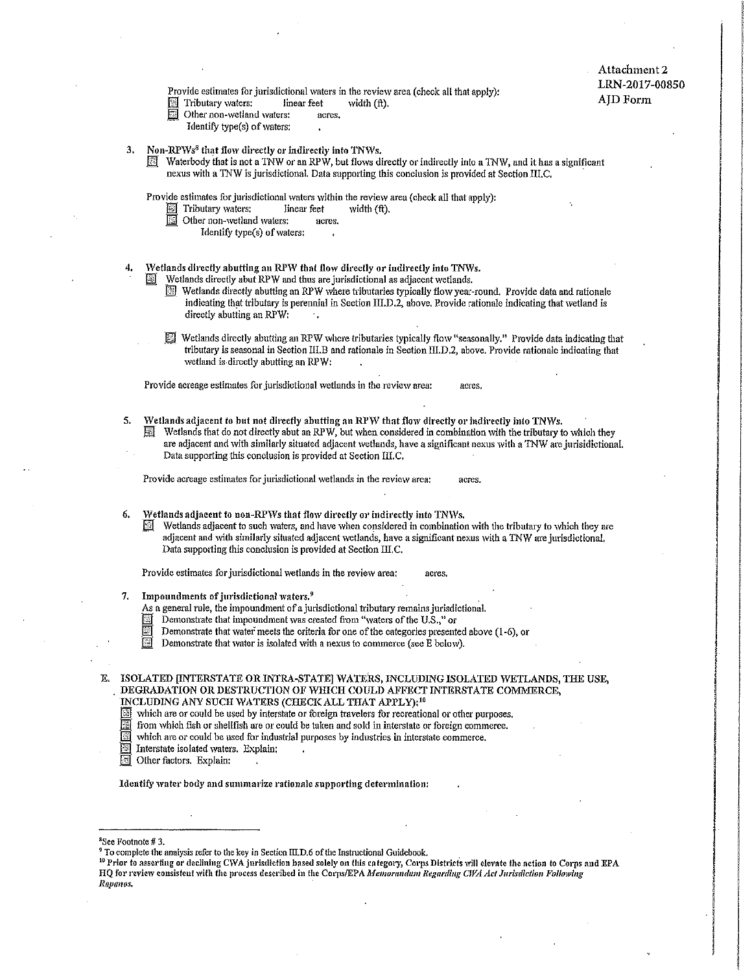# Attachment 2 LRN-2017-00850 AJDForm

Provide estimates for jurisdictional waters in the review area (check all that apply):

- $\Box$  Tributary waters: linear feet width (ft).
- Other non-wetland waters: acres.
	- Identify type(s) of waters:
- 
- 3. Non-RPWs<sup>8</sup> that flow directly or indirectly into TNWs.<br>**El** Waterbody that is not a TNW or an RPW, but flows directly or indirectly into a TNW, and it has a significant nexus with a TNW is jurisdictional. Data supporting this conclusion is provided at Section III.C,

Provide estimates for jurisdictional waters within the review area (check all that apply):<br>  $\Box$  Tributary waters: linear feet width (ft).

- 
- $\boxed{\phantom{1}}$  Other non-wetland waters: acres.
	- Identify type(s) of waters:
- 4. Wetlands directly abutting an RPW that flow directly or indirectly into TNWs.
	- ~ Wetlands directly abut RPW and thus are jurisdictional as adjacent wetlands.
		- **E** Wetlands directly abutting an RPW where tributaries typically flow year-round. Provide data and rationale indicating that tributary is perennial in Section III.D.2, above. Provide rationale indicating that wetland is directly abutting an RPW:
	- $\mathbb{E}$  Wetlands directly abutting an RPW where tributaries typically flow "seasonally." Provide data indicating that tributary is seasonal in Section III.B and rationale in Section III.D.2, above, Provide rationale indicating that wetland is directly abutting an RPW:

Provide acreage estimates for jurisdictional wetlands in the review area: acres

5. Wetlands adjacent to but not directly abutting an RPW that flow directly or indirectly into TNWs.<br>Set Wetlands that do not directly abut an RPW, but when considered in combination with the tributary to the tributary Wetlands that do not directly abut an RPW, but when considered in combination with the tributary to which they are adjacent and with similarly situated adjacent wetlands, have a significant nexus with a TNW are jurisidictional. Data supporting this conclusion is provided at Section ll.C.

Provide acreage estimates for jurisdictional wetlands in the review area: acres.

- 6. Wetlands adjacent to non-RPWs that flow directly or indirectly into TNWs.
	- Wetlands adjacent to such waters, and have when considered in combination with the tributary to which they are adjacent and with similarly situated adjacent wetlands, have a significant nexus with a TNW are jurisdictional. Data supporting this conclusion is provided at Section III.C.

Provide estimates for jurisdictional wetlands in the review area: acres,

- Impoundments of jurisdictional waters.<sup>9</sup>
	- As a general rule, the impoundment of a jurisdictional tributary remains jurisdictional.
	- Demonstrate that impoundment was created from "waters of the U.S.," or
	- Demonstrate that water meets the criteria for one of the categories presented above  $(1-6)$ , or
	- Demonstrate that water is isolated with a nexus to commerce (see  $\overline{E}$  below).

E. ISOLATED [INTERSTATE OR INTRA-STATE] WATERS, INCLUDING ISOLATED WETLANDS, THE USE, DEGRADATION OR DESTRUCTION OF WHICH COULD AFFECT INTERSTATE COMMERCE, INCLUDING ANY SUCH WATERS (CHECK ALL THAT APPLY);<sup>10</sup>

- which are or could be used by interstate or foreign travelers for recreational or other purposes.
- from which fish or shellfish are or could be taken and sold in interstate or foreign commerce.
- which are or could be used for industrial purposes by industries in interstate commerce,
- Interstate isolated waters. Explain:
- **If** Other factors. Explain:

Identify water body and summarize rationale supporting determination:

#### <sup>8</sup>See Footnote # 3.

<sup>9</sup> To complete the analysis refer to the key in Section III, D.6 of the Instructional Guidebook.<br><sup>10</sup> Prior to asserting or declining CWA jurisdiction based solely on this category, Corps Districts will elevate the action HQ for review consistent with the process described in the Corps/EPA Memorandum Regnrding CWA Act Jurisdiction Following *Rapmws.*